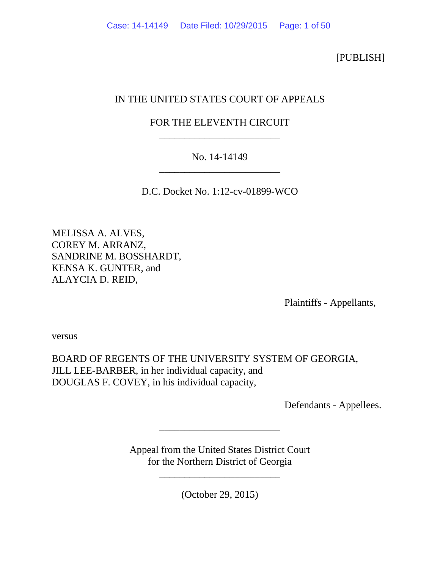[PUBLISH]

# IN THE UNITED STATES COURT OF APPEALS

# FOR THE ELEVENTH CIRCUIT \_\_\_\_\_\_\_\_\_\_\_\_\_\_\_\_\_\_\_\_\_\_\_\_

# No. 14-14149 \_\_\_\_\_\_\_\_\_\_\_\_\_\_\_\_\_\_\_\_\_\_\_\_

D.C. Docket No. 1:12-cv-01899-WCO

MELISSA A. ALVES, COREY M. ARRANZ, SANDRINE M. BOSSHARDT, KENSA K. GUNTER, and ALAYCIA D. REID,

Plaintiffs - Appellants,

versus

BOARD OF REGENTS OF THE UNIVERSITY SYSTEM OF GEORGIA, JILL LEE-BARBER, in her individual capacity, and DOUGLAS F. COVEY, in his individual capacity,

Defendants - Appellees.

Appeal from the United States District Court for the Northern District of Georgia

\_\_\_\_\_\_\_\_\_\_\_\_\_\_\_\_\_\_\_\_\_\_\_\_

\_\_\_\_\_\_\_\_\_\_\_\_\_\_\_\_\_\_\_\_\_\_\_\_

(October 29, 2015)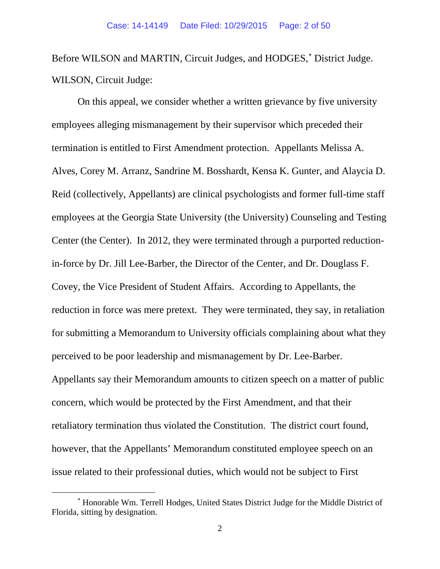Before WILSON and MARTIN, Circuit Judges, and HODGES,<sup>\*</sup> District Judge. WILSON, Circuit Judge:

On this appeal, we consider whether a written grievance by five university employees alleging mismanagement by their supervisor which preceded their termination is entitled to First Amendment protection. Appellants Melissa A. Alves, Corey M. Arranz, Sandrine M. Bosshardt, Kensa K. Gunter, and Alaycia D. Reid (collectively, Appellants) are clinical psychologists and former full-time staff employees at the Georgia State University (the University) Counseling and Testing Center (the Center). In 2012, they were terminated through a purported reductionin-force by Dr. Jill Lee-Barber, the Director of the Center, and Dr. Douglass F. Covey, the Vice President of Student Affairs. According to Appellants, the reduction in force was mere pretext. They were terminated, they say, in retaliation for submitting a Memorandum to University officials complaining about what they perceived to be poor leadership and mismanagement by Dr. Lee-Barber. Appellants say their Memorandum amounts to citizen speech on a matter of public concern, which would be protected by the First Amendment, and that their retaliatory termination thus violated the Constitution. The district court found, however, that the Appellants' Memorandum constituted employee speech on an issue related to their professional duties, which would not be subject to First

<span id="page-1-0"></span><sup>∗</sup> Honorable Wm. Terrell Hodges, United States District Judge for the Middle District of Florida, sitting by designation.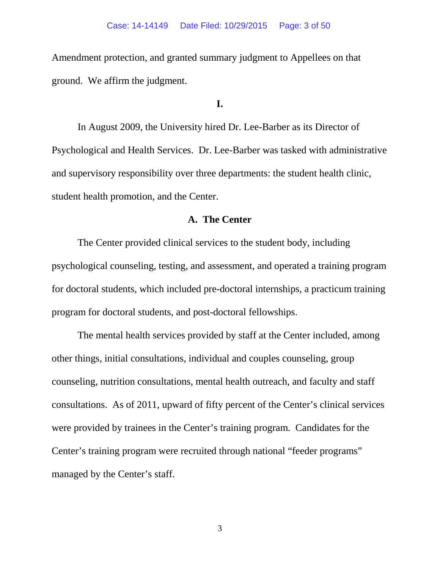Amendment protection, and granted summary judgment to Appellees on that ground. We affirm the judgment.

# **I.**

In August 2009, the University hired Dr. Lee-Barber as its Director of Psychological and Health Services. Dr. Lee-Barber was tasked with administrative and supervisory responsibility over three departments: the student health clinic, student health promotion, and the Center.

# **A. The Center**

The Center provided clinical services to the student body, including psychological counseling, testing, and assessment, and operated a training program for doctoral students, which included pre-doctoral internships, a practicum training program for doctoral students, and post-doctoral fellowships.

The mental health services provided by staff at the Center included, among other things, initial consultations, individual and couples counseling, group counseling, nutrition consultations, mental health outreach, and faculty and staff consultations. As of 2011, upward of fifty percent of the Center's clinical services were provided by trainees in the Center's training program. Candidates for the Center's training program were recruited through national "feeder programs" managed by the Center's staff.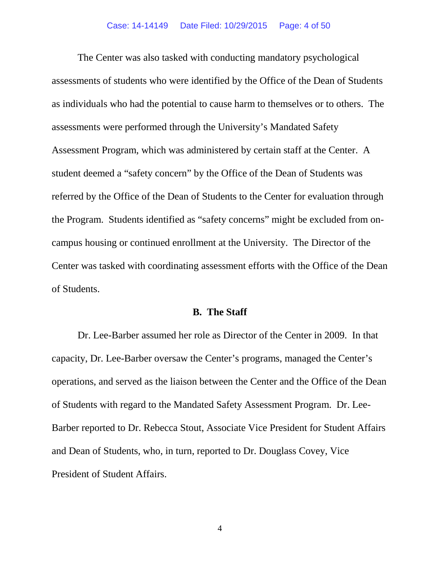The Center was also tasked with conducting mandatory psychological assessments of students who were identified by the Office of the Dean of Students as individuals who had the potential to cause harm to themselves or to others. The assessments were performed through the University's Mandated Safety Assessment Program, which was administered by certain staff at the Center. A student deemed a "safety concern" by the Office of the Dean of Students was referred by the Office of the Dean of Students to the Center for evaluation through the Program. Students identified as "safety concerns" might be excluded from oncampus housing or continued enrollment at the University. The Director of the Center was tasked with coordinating assessment efforts with the Office of the Dean of Students.

### **B. The Staff**

Dr. Lee-Barber assumed her role as Director of the Center in 2009. In that capacity, Dr. Lee-Barber oversaw the Center's programs, managed the Center's operations, and served as the liaison between the Center and the Office of the Dean of Students with regard to the Mandated Safety Assessment Program. Dr. Lee-Barber reported to Dr. Rebecca Stout, Associate Vice President for Student Affairs and Dean of Students, who, in turn, reported to Dr. Douglass Covey, Vice President of Student Affairs.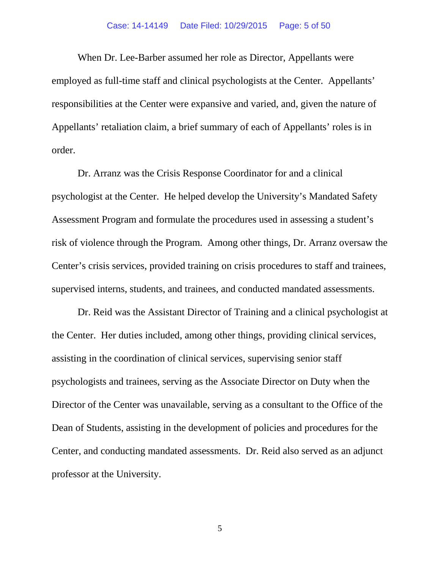### Case: 14-14149 Date Filed: 10/29/2015 Page: 5 of 50

When Dr. Lee-Barber assumed her role as Director, Appellants were employed as full-time staff and clinical psychologists at the Center. Appellants' responsibilities at the Center were expansive and varied, and, given the nature of Appellants' retaliation claim, a brief summary of each of Appellants' roles is in order.

Dr. Arranz was the Crisis Response Coordinator for and a clinical psychologist at the Center. He helped develop the University's Mandated Safety Assessment Program and formulate the procedures used in assessing a student's risk of violence through the Program. Among other things, Dr. Arranz oversaw the Center's crisis services, provided training on crisis procedures to staff and trainees, supervised interns, students, and trainees, and conducted mandated assessments.

Dr. Reid was the Assistant Director of Training and a clinical psychologist at the Center. Her duties included, among other things, providing clinical services, assisting in the coordination of clinical services, supervising senior staff psychologists and trainees, serving as the Associate Director on Duty when the Director of the Center was unavailable, serving as a consultant to the Office of the Dean of Students, assisting in the development of policies and procedures for the Center, and conducting mandated assessments. Dr. Reid also served as an adjunct professor at the University.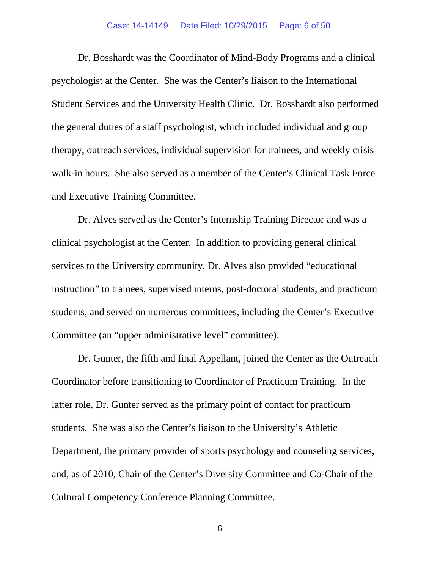Dr. Bosshardt was the Coordinator of Mind-Body Programs and a clinical psychologist at the Center. She was the Center's liaison to the International Student Services and the University Health Clinic. Dr. Bosshardt also performed the general duties of a staff psychologist, which included individual and group therapy, outreach services, individual supervision for trainees, and weekly crisis walk-in hours. She also served as a member of the Center's Clinical Task Force and Executive Training Committee.

Dr. Alves served as the Center's Internship Training Director and was a clinical psychologist at the Center. In addition to providing general clinical services to the University community, Dr. Alves also provided "educational instruction" to trainees, supervised interns, post-doctoral students, and practicum students, and served on numerous committees, including the Center's Executive Committee (an "upper administrative level" committee).

Dr. Gunter, the fifth and final Appellant, joined the Center as the Outreach Coordinator before transitioning to Coordinator of Practicum Training. In the latter role, Dr. Gunter served as the primary point of contact for practicum students. She was also the Center's liaison to the University's Athletic Department, the primary provider of sports psychology and counseling services, and, as of 2010, Chair of the Center's Diversity Committee and Co-Chair of the Cultural Competency Conference Planning Committee.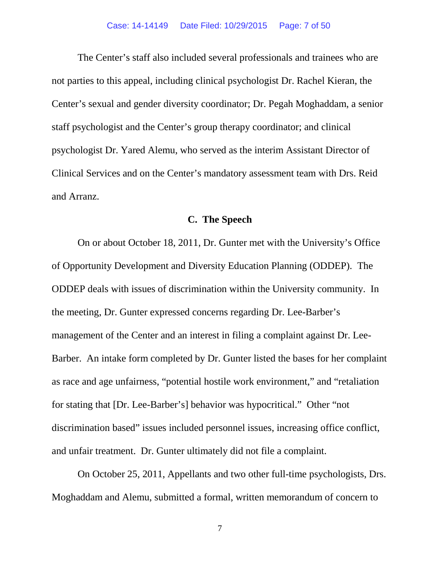The Center's staff also included several professionals and trainees who are not parties to this appeal, including clinical psychologist Dr. Rachel Kieran, the Center's sexual and gender diversity coordinator; Dr. Pegah Moghaddam, a senior staff psychologist and the Center's group therapy coordinator; and clinical psychologist Dr. Yared Alemu, who served as the interim Assistant Director of Clinical Services and on the Center's mandatory assessment team with Drs. Reid and Arranz.

# **C. The Speech**

On or about October 18, 2011, Dr. Gunter met with the University's Office of Opportunity Development and Diversity Education Planning (ODDEP). The ODDEP deals with issues of discrimination within the University community. In the meeting, Dr. Gunter expressed concerns regarding Dr. Lee-Barber's management of the Center and an interest in filing a complaint against Dr. Lee-Barber. An intake form completed by Dr. Gunter listed the bases for her complaint as race and age unfairness, "potential hostile work environment," and "retaliation for stating that [Dr. Lee-Barber's] behavior was hypocritical." Other "not discrimination based" issues included personnel issues, increasing office conflict, and unfair treatment. Dr. Gunter ultimately did not file a complaint.

On October 25, 2011, Appellants and two other full-time psychologists, Drs. Moghaddam and Alemu, submitted a formal, written memorandum of concern to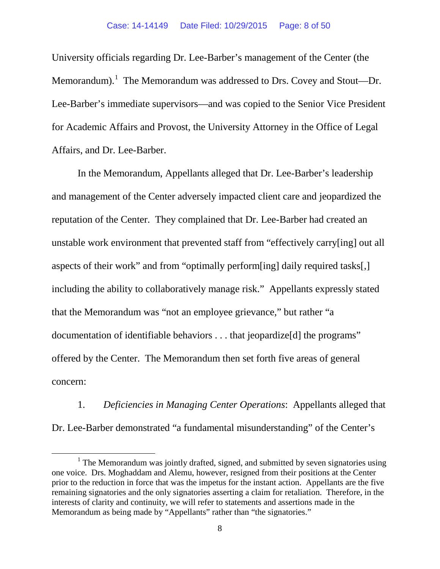University officials regarding Dr. Lee-Barber's management of the Center (the Memorandum). The Memorandum was addressed to Drs. Covey and Stout—Dr. Lee-Barber's immediate supervisors—and was copied to the Senior Vice President for Academic Affairs and Provost, the University Attorney in the Office of Legal Affairs, and Dr. Lee-Barber.

In the Memorandum, Appellants alleged that Dr. Lee-Barber's leadership and management of the Center adversely impacted client care and jeopardized the reputation of the Center. They complained that Dr. Lee-Barber had created an unstable work environment that prevented staff from "effectively carry[ing] out all aspects of their work" and from "optimally perform[ing] daily required tasks[,] including the ability to collaboratively manage risk." Appellants expressly stated that the Memorandum was "not an employee grievance," but rather "a documentation of identifiable behaviors . . . that jeopardize[d] the programs" offered by the Center. The Memorandum then set forth five areas of general concern:

1. *Deficiencies in Managing Center Operations*: Appellants alleged that Dr. Lee-Barber demonstrated "a fundamental misunderstanding" of the Center's

<span id="page-7-0"></span> $<sup>1</sup>$  The Memorandum was jointly drafted, signed, and submitted by seven signatories using</sup> one voice. Drs. Moghaddam and Alemu, however, resigned from their positions at the Center prior to the reduction in force that was the impetus for the instant action. Appellants are the five remaining signatories and the only signatories asserting a claim for retaliation. Therefore, in the interests of clarity and continuity, we will refer to statements and assertions made in the Memorandum as being made by "Appellants" rather than "the signatories."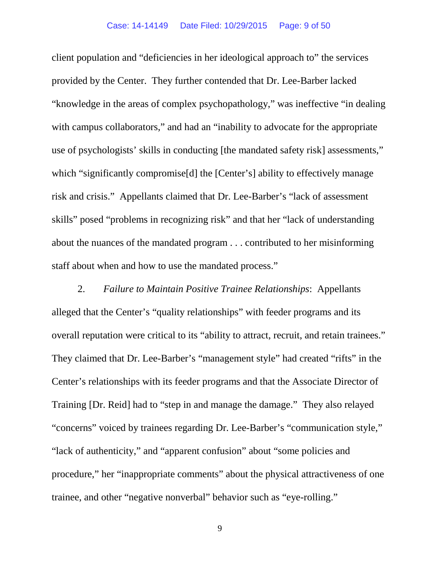client population and "deficiencies in her ideological approach to" the services provided by the Center. They further contended that Dr. Lee-Barber lacked "knowledge in the areas of complex psychopathology," was ineffective "in dealing with campus collaborators," and had an "inability to advocate for the appropriate use of psychologists' skills in conducting [the mandated safety risk] assessments," which "significantly compromise<sup>[d]</sup> the [Center's] ability to effectively manage risk and crisis." Appellants claimed that Dr. Lee-Barber's "lack of assessment skills" posed "problems in recognizing risk" and that her "lack of understanding about the nuances of the mandated program . . . contributed to her misinforming staff about when and how to use the mandated process."

2. *Failure to Maintain Positive Trainee Relationships*: Appellants alleged that the Center's "quality relationships" with feeder programs and its overall reputation were critical to its "ability to attract, recruit, and retain trainees." They claimed that Dr. Lee-Barber's "management style" had created "rifts" in the Center's relationships with its feeder programs and that the Associate Director of Training [Dr. Reid] had to "step in and manage the damage." They also relayed "concerns" voiced by trainees regarding Dr. Lee-Barber's "communication style," "lack of authenticity," and "apparent confusion" about "some policies and procedure," her "inappropriate comments" about the physical attractiveness of one trainee, and other "negative nonverbal" behavior such as "eye-rolling."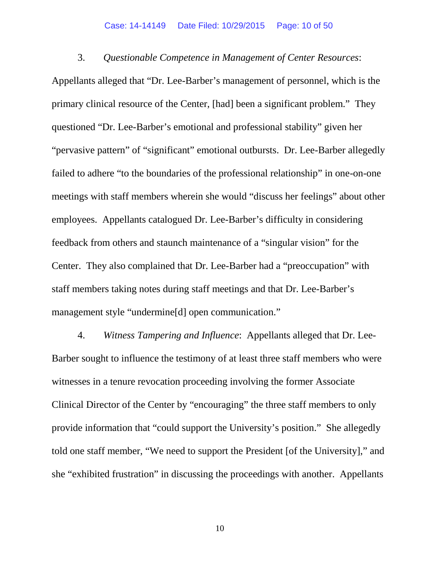### Case: 14-14149 Date Filed: 10/29/2015 Page: 10 of 50

### 3. *Questionable Competence in Management of Center Resources*:

Appellants alleged that "Dr. Lee-Barber's management of personnel, which is the primary clinical resource of the Center, [had] been a significant problem." They questioned "Dr. Lee-Barber's emotional and professional stability" given her "pervasive pattern" of "significant" emotional outbursts. Dr. Lee-Barber allegedly failed to adhere "to the boundaries of the professional relationship" in one-on-one meetings with staff members wherein she would "discuss her feelings" about other employees. Appellants catalogued Dr. Lee-Barber's difficulty in considering feedback from others and staunch maintenance of a "singular vision" for the Center. They also complained that Dr. Lee-Barber had a "preoccupation" with staff members taking notes during staff meetings and that Dr. Lee-Barber's management style "undermine[d] open communication."

4. *Witness Tampering and Influence*: Appellants alleged that Dr. Lee-Barber sought to influence the testimony of at least three staff members who were witnesses in a tenure revocation proceeding involving the former Associate Clinical Director of the Center by "encouraging" the three staff members to only provide information that "could support the University's position." She allegedly told one staff member, "We need to support the President [of the University]," and she "exhibited frustration" in discussing the proceedings with another. Appellants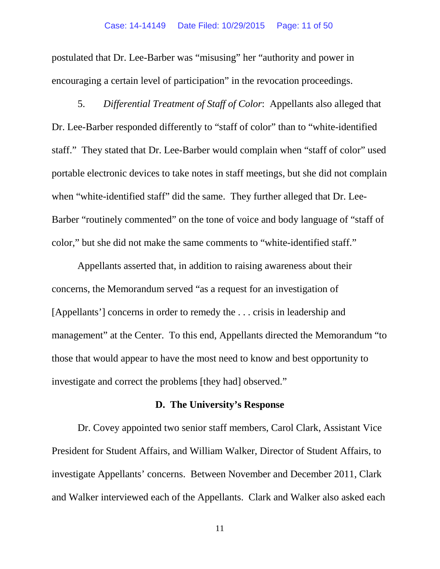postulated that Dr. Lee-Barber was "misusing" her "authority and power in encouraging a certain level of participation" in the revocation proceedings.

5. *Differential Treatment of Staff of Color*: Appellants also alleged that Dr. Lee-Barber responded differently to "staff of color" than to "white-identified staff." They stated that Dr. Lee-Barber would complain when "staff of color" used portable electronic devices to take notes in staff meetings, but she did not complain when "white-identified staff" did the same. They further alleged that Dr. Lee-Barber "routinely commented" on the tone of voice and body language of "staff of color," but she did not make the same comments to "white-identified staff."

Appellants asserted that, in addition to raising awareness about their concerns, the Memorandum served "as a request for an investigation of [Appellants'] concerns in order to remedy the . . . crisis in leadership and management" at the Center. To this end, Appellants directed the Memorandum "to those that would appear to have the most need to know and best opportunity to investigate and correct the problems [they had] observed."

### **D. The University's Response**

Dr. Covey appointed two senior staff members, Carol Clark, Assistant Vice President for Student Affairs, and William Walker, Director of Student Affairs, to investigate Appellants' concerns. Between November and December 2011, Clark and Walker interviewed each of the Appellants. Clark and Walker also asked each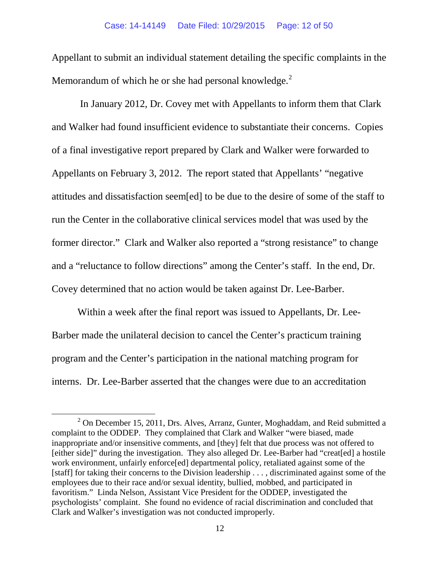Appellant to submit an individual statement detailing the specific complaints in the Memorandum of which he or she had personal knowledge.<sup>[2](#page-11-0)</sup>

In January 2012, Dr. Covey met with Appellants to inform them that Clark and Walker had found insufficient evidence to substantiate their concerns. Copies of a final investigative report prepared by Clark and Walker were forwarded to Appellants on February 3, 2012. The report stated that Appellants' "negative attitudes and dissatisfaction seem[ed] to be due to the desire of some of the staff to run the Center in the collaborative clinical services model that was used by the former director." Clark and Walker also reported a "strong resistance" to change and a "reluctance to follow directions" among the Center's staff. In the end, Dr. Covey determined that no action would be taken against Dr. Lee-Barber.

Within a week after the final report was issued to Appellants, Dr. Lee-Barber made the unilateral decision to cancel the Center's practicum training program and the Center's participation in the national matching program for interns. Dr. Lee-Barber asserted that the changes were due to an accreditation

<span id="page-11-0"></span> $2$  On December 15, 2011, Drs. Alves, Arranz, Gunter, Moghaddam, and Reid submitted a complaint to the ODDEP. They complained that Clark and Walker "were biased, made inappropriate and/or insensitive comments, and [they] felt that due process was not offered to [either side]" during the investigation. They also alleged Dr. Lee-Barber had "creat[ed] a hostile work environment, unfairly enforce[ed] departmental policy, retaliated against some of the [staff] for taking their concerns to the Division leadership . . . , discriminated against some of the employees due to their race and/or sexual identity, bullied, mobbed, and participated in favoritism." Linda Nelson, Assistant Vice President for the ODDEP, investigated the psychologists' complaint. She found no evidence of racial discrimination and concluded that Clark and Walker's investigation was not conducted improperly.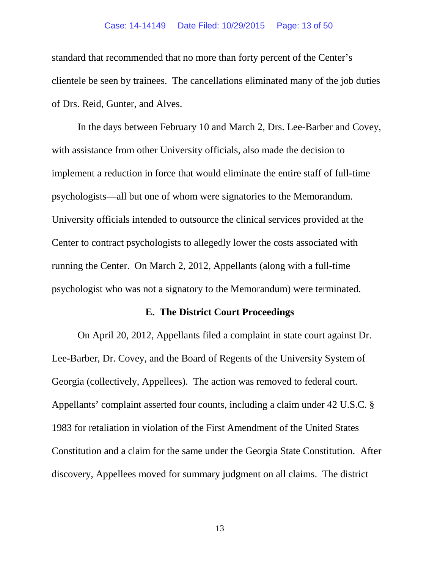#### Case: 14-14149 Date Filed: 10/29/2015 Page: 13 of 50

standard that recommended that no more than forty percent of the Center's clientele be seen by trainees. The cancellations eliminated many of the job duties of Drs. Reid, Gunter, and Alves.

In the days between February 10 and March 2, Drs. Lee-Barber and Covey, with assistance from other University officials, also made the decision to implement a reduction in force that would eliminate the entire staff of full-time psychologists—all but one of whom were signatories to the Memorandum. University officials intended to outsource the clinical services provided at the Center to contract psychologists to allegedly lower the costs associated with running the Center. On March 2, 2012, Appellants (along with a full-time psychologist who was not a signatory to the Memorandum) were terminated.

# **E. The District Court Proceedings**

On April 20, 2012, Appellants filed a complaint in state court against Dr. Lee-Barber, Dr. Covey, and the Board of Regents of the University System of Georgia (collectively, Appellees). The action was removed to federal court. Appellants' complaint asserted four counts, including a claim under 42 U.S.C. § 1983 for retaliation in violation of the First Amendment of the United States Constitution and a claim for the same under the Georgia State Constitution. After discovery, Appellees moved for summary judgment on all claims. The district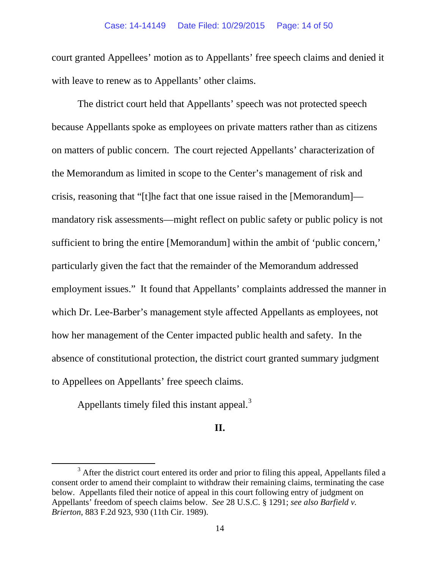court granted Appellees' motion as to Appellants' free speech claims and denied it with leave to renew as to Appellants' other claims.

The district court held that Appellants' speech was not protected speech because Appellants spoke as employees on private matters rather than as citizens on matters of public concern. The court rejected Appellants' characterization of the Memorandum as limited in scope to the Center's management of risk and crisis, reasoning that "[t]he fact that one issue raised in the [Memorandum] mandatory risk assessments—might reflect on public safety or public policy is not sufficient to bring the entire [Memorandum] within the ambit of 'public concern,' particularly given the fact that the remainder of the Memorandum addressed employment issues." It found that Appellants' complaints addressed the manner in which Dr. Lee-Barber's management style affected Appellants as employees, not how her management of the Center impacted public health and safety. In the absence of constitutional protection, the district court granted summary judgment to Appellees on Appellants' free speech claims.

Appellants timely filed this instant appeal.<sup>[3](#page-13-0)</sup>

# **II.**

<span id="page-13-0"></span> $3$  After the district court entered its order and prior to filing this appeal, Appellants filed a consent order to amend their complaint to withdraw their remaining claims, terminating the case below. Appellants filed their notice of appeal in this court following entry of judgment on Appellants' freedom of speech claims below. *See* 28 U.S.C. § 1291; *see also Barfield v. Brierton*, 883 F.2d 923, 930 (11th Cir. 1989).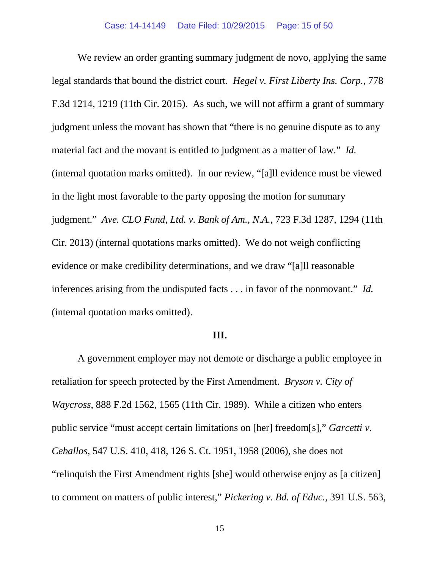We review an order granting summary judgment de novo, applying the same legal standards that bound the district court. *Hegel v. First Liberty Ins. Corp.*, 778 F.3d 1214, 1219 (11th Cir. 2015). As such, we will not affirm a grant of summary judgment unless the movant has shown that "there is no genuine dispute as to any material fact and the movant is entitled to judgment as a matter of law." *Id.* (internal quotation marks omitted). In our review, "[a]ll evidence must be viewed in the light most favorable to the party opposing the motion for summary judgment." *Ave. CLO Fund, Ltd. v. Bank of Am., N.A.*, 723 F.3d 1287, 1294 (11th Cir. 2013) (internal quotations marks omitted). We do not weigh conflicting evidence or make credibility determinations, and we draw "[a]ll reasonable inferences arising from the undisputed facts . . . in favor of the nonmovant." *Id.* (internal quotation marks omitted).

## **III.**

A government employer may not demote or discharge a public employee in retaliation for speech protected by the First Amendment. *Bryson v. City of Waycross*, 888 F.2d 1562, 1565 (11th Cir. 1989). While a citizen who enters public service "must accept certain limitations on [her] freedom[s]," *Garcetti v. Ceballos*, 547 U.S. 410, 418, 126 S. Ct. 1951, 1958 (2006), she does not "relinquish the First Amendment rights [she] would otherwise enjoy as [a citizen] to comment on matters of public interest," *Pickering v. Bd. of Educ.*, 391 U.S. 563,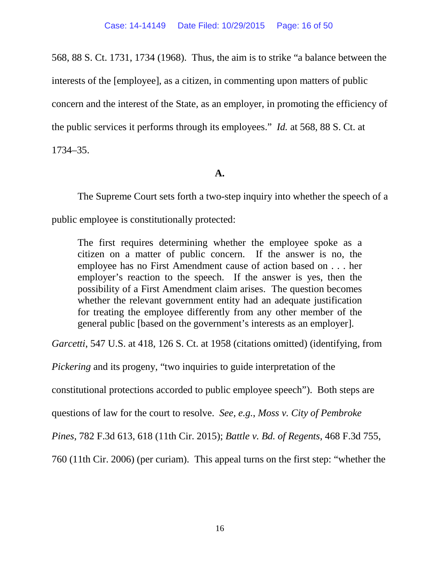568, 88 S. Ct. 1731, 1734 (1968). Thus, the aim is to strike "a balance between the interests of the [employee], as a citizen, in commenting upon matters of public concern and the interest of the State, as an employer, in promoting the efficiency of the public services it performs through its employees." *Id.* at 568, 88 S. Ct. at 1734–35.

# **A.**

The Supreme Court sets forth a two-step inquiry into whether the speech of a public employee is constitutionally protected:

The first requires determining whether the employee spoke as a citizen on a matter of public concern. If the answer is no, the employee has no First Amendment cause of action based on . . . her employer's reaction to the speech. If the answer is yes, then the possibility of a First Amendment claim arises. The question becomes whether the relevant government entity had an adequate justification for treating the employee differently from any other member of the general public [based on the government's interests as an employer].

*Garcetti*, 547 U.S. at 418, 126 S. Ct. at 1958 (citations omitted) (identifying, from

*Pickering* and its progeny, "two inquiries to guide interpretation of the

constitutional protections accorded to public employee speech"). Both steps are

questions of law for the court to resolve. *See, e.g.*, *Moss v. City of Pembroke* 

*Pines*, 782 F.3d 613, 618 (11th Cir. 2015); *Battle v. Bd. of Regents*, 468 F.3d 755,

760 (11th Cir. 2006) (per curiam). This appeal turns on the first step: "whether the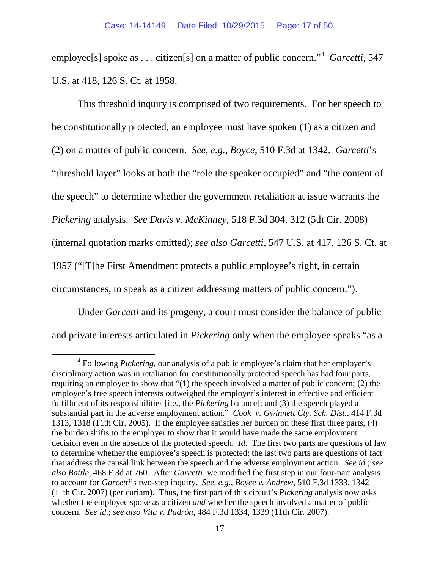employee<sup>[s]</sup> spoke as . . . citizen<sup>[s]</sup> on a matter of public concern."<sup>[4](#page-16-0)</sup> *Garcetti*, 547 U.S. at 418, 126 S. Ct. at 1958.

This threshold inquiry is comprised of two requirements. For her speech to be constitutionally protected, an employee must have spoken (1) as a citizen and (2) on a matter of public concern. *See, e.g.*, *Boyce*, 510 F.3d at 1342. *Garcetti*'s "threshold layer" looks at both the "role the speaker occupied" and "the content of the speech" to determine whether the government retaliation at issue warrants the *Pickering* analysis. *See Davis v. McKinney*, 518 F.3d 304, 312 (5th Cir. 2008) (internal quotation marks omitted); *see also Garcetti*, 547 U.S. at 417, 126 S. Ct. at 1957 ("[T]he First Amendment protects a public employee's right, in certain circumstances, to speak as a citizen addressing matters of public concern.").

Under *Garcetti* and its progeny, a court must consider the balance of public and private interests articulated in *Pickering* only when the employee speaks "as a

<span id="page-16-0"></span> <sup>4</sup> Following *Pickering*, our analysis of a public employee's claim that her employer's disciplinary action was in retaliation for constitutionally protected speech has had four parts, requiring an employee to show that "(1) the speech involved a matter of public concern; (2) the employee's free speech interests outweighed the employer's interest in effective and efficient fulfillment of its responsibilities [i.e., the *Pickering* balance]; and (3) the speech played a substantial part in the adverse employment action." *Cook v. Gwinnett Cty. Sch. Dist.*, 414 F.3d 1313, 1318 (11th Cir. 2005). If the employee satisfies her burden on these first three parts, (4) the burden shifts to the employer to show that it would have made the same employment decision even in the absence of the protected speech. *Id.* The first two parts are questions of law to determine whether the employee's speech is protected; the last two parts are questions of fact that address the causal link between the speech and the adverse employment action. *See id.*; *see also Battle*, 468 F.3d at 760. After *Garcetti*, we modified the first step in our four-part analysis to account for *Garcetti*'s two-step inquiry. *See, e.g.*, *Boyce v. Andrew*, 510 F.3d 1333, 1342 (11th Cir. 2007) (per curiam). Thus, the first part of this circuit's *Pickering* analysis now asks whether the employee spoke as a citizen *and* whether the speech involved a matter of public concern. *See id*.; *see also Vila v. Padrón*, 484 F.3d 1334, 1339 (11th Cir. 2007).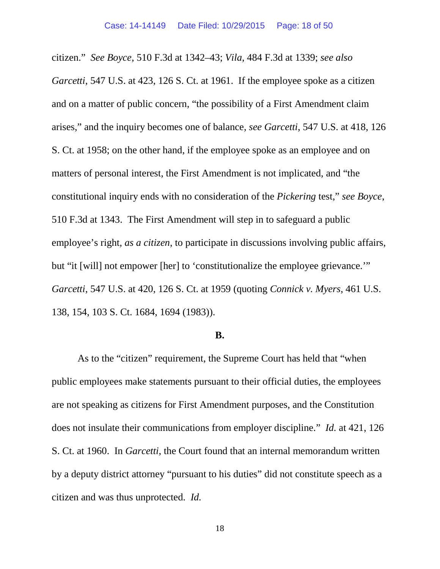citizen." *See Boyce*, 510 F.3d at 1342–43; *Vila*, 484 F.3d at 1339; *see also Garcetti*, 547 U.S. at 423, 126 S. Ct. at 1961. If the employee spoke as a citizen and on a matter of public concern, "the possibility of a First Amendment claim arises," and the inquiry becomes one of balance, *see Garcetti*, 547 U.S. at 418, 126 S. Ct. at 1958; on the other hand, if the employee spoke as an employee and on matters of personal interest, the First Amendment is not implicated, and "the constitutional inquiry ends with no consideration of the *Pickering* test," *see Boyce*, 510 F.3d at 1343. The First Amendment will step in to safeguard a public employee's right, *as a citizen*, to participate in discussions involving public affairs, but "it [will] not empower [her] to 'constitutionalize the employee grievance.'" *Garcetti*, 547 U.S. at 420, 126 S. Ct. at 1959 (quoting *Connick v. Myers*, 461 U.S. 138, 154, 103 S. Ct. 1684, 1694 (1983)).

### **B.**

As to the "citizen" requirement, the Supreme Court has held that "when public employees make statements pursuant to their official duties, the employees are not speaking as citizens for First Amendment purposes, and the Constitution does not insulate their communications from employer discipline." *Id.* at 421, 126 S. Ct. at 1960. In *Garcetti*, the Court found that an internal memorandum written by a deputy district attorney "pursuant to his duties" did not constitute speech as a citizen and was thus unprotected. *Id.*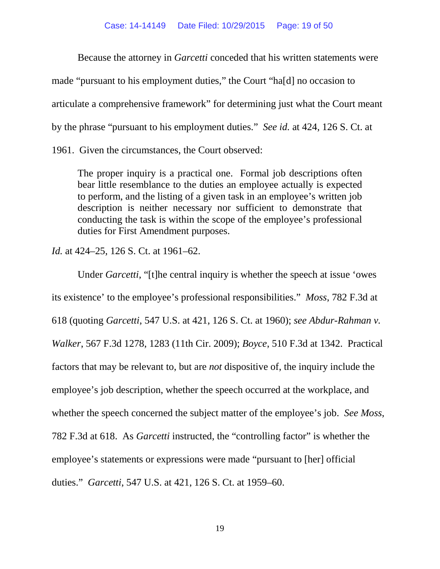Because the attorney in *Garcetti* conceded that his written statements were made "pursuant to his employment duties," the Court "ha[d] no occasion to articulate a comprehensive framework" for determining just what the Court meant by the phrase "pursuant to his employment duties." *See id.* at 424, 126 S. Ct. at

1961. Given the circumstances, the Court observed:

The proper inquiry is a practical one. Formal job descriptions often bear little resemblance to the duties an employee actually is expected to perform, and the listing of a given task in an employee's written job description is neither necessary nor sufficient to demonstrate that conducting the task is within the scope of the employee's professional duties for First Amendment purposes.

*Id.* at 424–25, 126 S. Ct. at 1961–62.

Under *Garcetti*, "[t]he central inquiry is whether the speech at issue 'owes its existence' to the employee's professional responsibilities." *Moss*, 782 F.3d at 618 (quoting *Garcetti*, 547 U.S. at 421, 126 S. Ct. at 1960); *see Abdur-Rahman v. Walker*, 567 F.3d 1278, 1283 (11th Cir. 2009); *Boyce*, 510 F.3d at 1342. Practical factors that may be relevant to, but are *not* dispositive of, the inquiry include the employee's job description, whether the speech occurred at the workplace, and whether the speech concerned the subject matter of the employee's job. *See Moss*, 782 F.3d at 618. As *Garcetti* instructed, the "controlling factor" is whether the employee's statements or expressions were made "pursuant to [her] official duties." *Garcetti*, 547 U.S. at 421, 126 S. Ct. at 1959–60.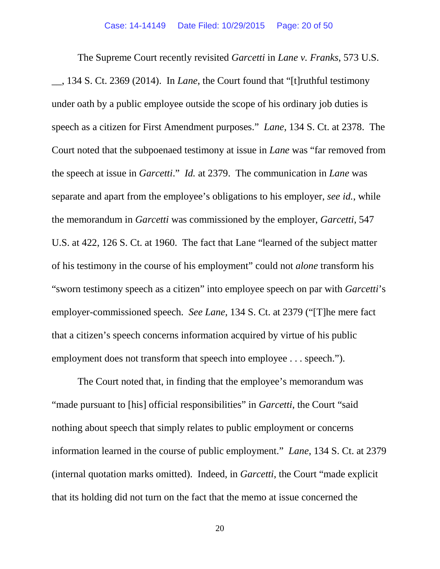The Supreme Court recently revisited *Garcetti* in *Lane v. Franks*, 573 U.S. \_\_, 134 S. Ct. 2369 (2014). In *Lane*, the Court found that "[t]ruthful testimony under oath by a public employee outside the scope of his ordinary job duties is speech as a citizen for First Amendment purposes." *Lane*, 134 S. Ct. at 2378. The Court noted that the subpoenaed testimony at issue in *Lane* was "far removed from the speech at issue in *Garcetti*." *Id.* at 2379. The communication in *Lane* was separate and apart from the employee's obligations to his employer, *see id.*, while the memorandum in *Garcetti* was commissioned by the employer, *Garcetti*, 547 U.S. at 422, 126 S. Ct. at 1960. The fact that Lane "learned of the subject matter of his testimony in the course of his employment" could not *alone* transform his "sworn testimony speech as a citizen" into employee speech on par with *Garcetti*'s employer-commissioned speech. *See Lane*, 134 S. Ct. at 2379 ("[T]he mere fact that a citizen's speech concerns information acquired by virtue of his public employment does not transform that speech into employee . . . speech.").

The Court noted that, in finding that the employee's memorandum was "made pursuant to [his] official responsibilities" in *Garcetti*, the Court "said nothing about speech that simply relates to public employment or concerns information learned in the course of public employment." *Lane*, 134 S. Ct. at 2379 (internal quotation marks omitted). Indeed, in *Garcetti*, the Court "made explicit that its holding did not turn on the fact that the memo at issue concerned the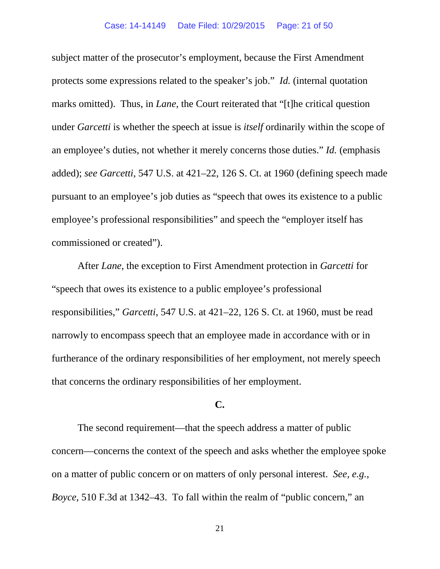subject matter of the prosecutor's employment, because the First Amendment protects some expressions related to the speaker's job." *Id.* (internal quotation marks omitted). Thus, in *Lane*, the Court reiterated that "[t]he critical question under *Garcetti* is whether the speech at issue is *itself* ordinarily within the scope of an employee's duties, not whether it merely concerns those duties." *Id.* (emphasis added); *see Garcetti*, 547 U.S. at 421–22, 126 S. Ct. at 1960 (defining speech made pursuant to an employee's job duties as "speech that owes its existence to a public employee's professional responsibilities" and speech the "employer itself has commissioned or created").

After *Lane*, the exception to First Amendment protection in *Garcetti* for "speech that owes its existence to a public employee's professional responsibilities," *Garcetti*, 547 U.S. at 421–22, 126 S. Ct. at 1960, must be read narrowly to encompass speech that an employee made in accordance with or in furtherance of the ordinary responsibilities of her employment, not merely speech that concerns the ordinary responsibilities of her employment.

# **C.**

The second requirement—that the speech address a matter of public concern—concerns the context of the speech and asks whether the employee spoke on a matter of public concern or on matters of only personal interest. *See, e.g.*, *Boyce*, 510 F.3d at 1342–43. To fall within the realm of "public concern," an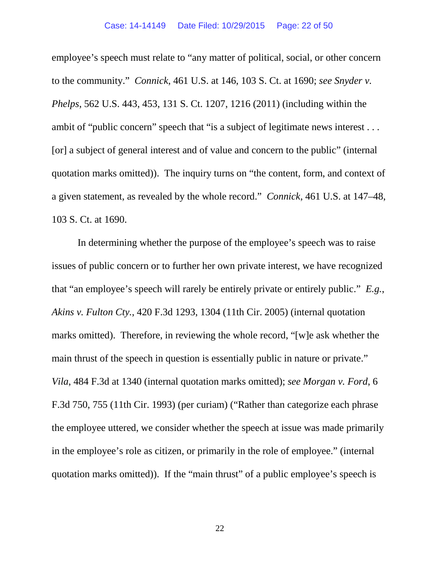employee's speech must relate to "any matter of political, social, or other concern to the community." *Connick*, 461 U.S. at 146, 103 S. Ct. at 1690; *see Snyder v. Phelps*, 562 U.S. 443, 453, 131 S. Ct. 1207, 1216 (2011) (including within the ambit of "public concern" speech that "is a subject of legitimate news interest . . . [or] a subject of general interest and of value and concern to the public" (internal quotation marks omitted)). The inquiry turns on "the content, form, and context of a given statement, as revealed by the whole record." *Connick*, 461 U.S. at 147–48, 103 S. Ct. at 1690.

In determining whether the purpose of the employee's speech was to raise issues of public concern or to further her own private interest, we have recognized that "an employee's speech will rarely be entirely private or entirely public." *E.g.*, *Akins v. Fulton Cty.*, 420 F.3d 1293, 1304 (11th Cir. 2005) (internal quotation marks omitted). Therefore, in reviewing the whole record, "[w]e ask whether the main thrust of the speech in question is essentially public in nature or private." *Vila*, 484 F.3d at 1340 (internal quotation marks omitted); *see Morgan v. Ford*, 6 F.3d 750, 755 (11th Cir. 1993) (per curiam) ("Rather than categorize each phrase the employee uttered, we consider whether the speech at issue was made primarily in the employee's role as citizen, or primarily in the role of employee." (internal quotation marks omitted)). If the "main thrust" of a public employee's speech is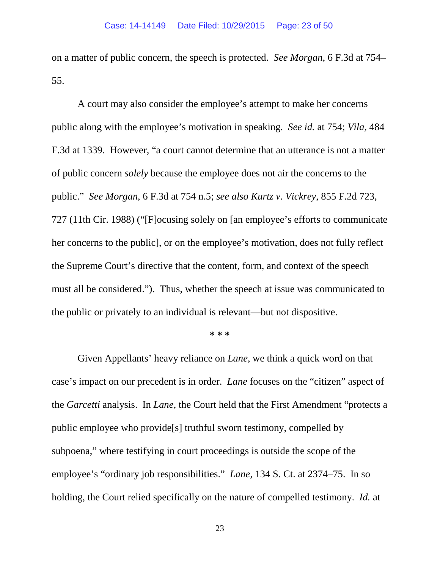on a matter of public concern, the speech is protected. *See Morgan*, 6 F.3d at 754– 55.

A court may also consider the employee's attempt to make her concerns public along with the employee's motivation in speaking. *See id.* at 754; *Vila*, 484 F.3d at 1339. However, "a court cannot determine that an utterance is not a matter of public concern *solely* because the employee does not air the concerns to the public." *See Morgan*, 6 F.3d at 754 n.5; *see also Kurtz v. Vickrey*, 855 F.2d 723, 727 (11th Cir. 1988) ("[F]ocusing solely on [an employee's efforts to communicate her concerns to the public], or on the employee's motivation, does not fully reflect the Supreme Court's directive that the content, form, and context of the speech must all be considered."). Thus, whether the speech at issue was communicated to the public or privately to an individual is relevant—but not dispositive.

#### **\* \* \***

Given Appellants' heavy reliance on *Lane*, we think a quick word on that case's impact on our precedent is in order. *Lane* focuses on the "citizen" aspect of the *Garcetti* analysis. In *Lane*, the Court held that the First Amendment "protects a public employee who provide[s] truthful sworn testimony, compelled by subpoena," where testifying in court proceedings is outside the scope of the employee's "ordinary job responsibilities." *Lane*, 134 S. Ct. at 2374–75. In so holding, the Court relied specifically on the nature of compelled testimony. *Id.* at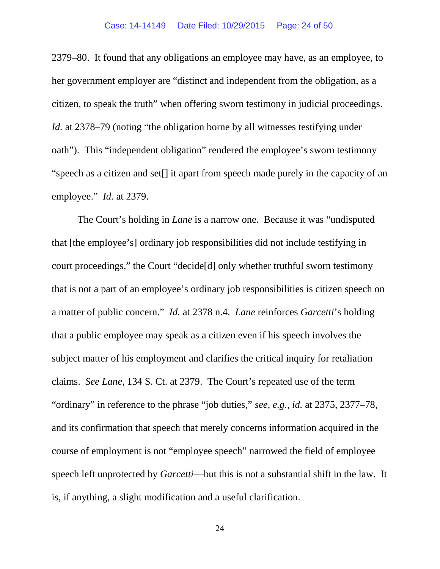### Case: 14-14149 Date Filed: 10/29/2015 Page: 24 of 50

2379–80. It found that any obligations an employee may have, as an employee, to her government employer are "distinct and independent from the obligation, as a citizen, to speak the truth" when offering sworn testimony in judicial proceedings. *Id.* at 2378–79 (noting "the obligation borne by all witnesses testifying under oath"). This "independent obligation" rendered the employee's sworn testimony "speech as a citizen and set[] it apart from speech made purely in the capacity of an employee." *Id.* at 2379.

The Court's holding in *Lane* is a narrow one. Because it was "undisputed that [the employee's] ordinary job responsibilities did not include testifying in court proceedings," the Court "decide[d] only whether truthful sworn testimony that is not a part of an employee's ordinary job responsibilities is citizen speech on a matter of public concern." *Id.* at 2378 n.4. *Lane* reinforces *Garcetti*'s holding that a public employee may speak as a citizen even if his speech involves the subject matter of his employment and clarifies the critical inquiry for retaliation claims. *See Lane*, 134 S. Ct. at 2379. The Court's repeated use of the term "ordinary" in reference to the phrase "job duties," *see, e.g.*, *id.* at 2375, 2377–78, and its confirmation that speech that merely concerns information acquired in the course of employment is not "employee speech" narrowed the field of employee speech left unprotected by *Garcetti*—but this is not a substantial shift in the law. It is, if anything, a slight modification and a useful clarification.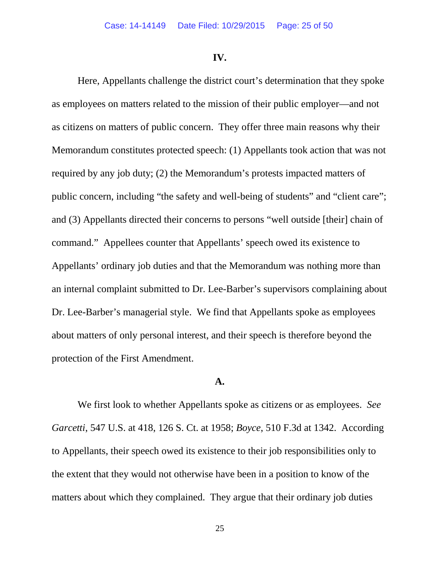### **IV.**

Here, Appellants challenge the district court's determination that they spoke as employees on matters related to the mission of their public employer—and not as citizens on matters of public concern. They offer three main reasons why their Memorandum constitutes protected speech: (1) Appellants took action that was not required by any job duty; (2) the Memorandum's protests impacted matters of public concern, including "the safety and well-being of students" and "client care"; and (3) Appellants directed their concerns to persons "well outside [their] chain of command." Appellees counter that Appellants' speech owed its existence to Appellants' ordinary job duties and that the Memorandum was nothing more than an internal complaint submitted to Dr. Lee-Barber's supervisors complaining about Dr. Lee-Barber's managerial style. We find that Appellants spoke as employees about matters of only personal interest, and their speech is therefore beyond the protection of the First Amendment.

### **A.**

We first look to whether Appellants spoke as citizens or as employees. *See Garcetti*, 547 U.S. at 418, 126 S. Ct. at 1958; *Boyce*, 510 F.3d at 1342. According to Appellants, their speech owed its existence to their job responsibilities only to the extent that they would not otherwise have been in a position to know of the matters about which they complained. They argue that their ordinary job duties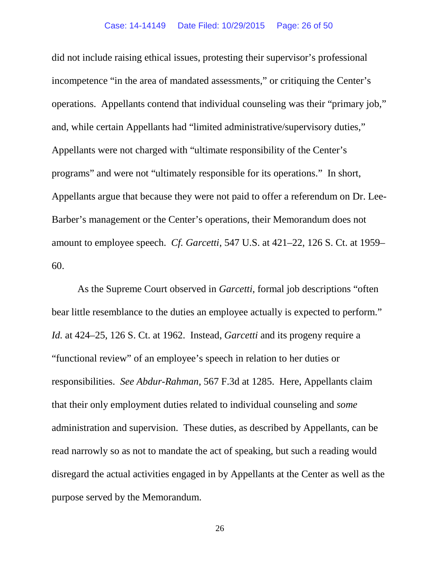did not include raising ethical issues, protesting their supervisor's professional incompetence "in the area of mandated assessments," or critiquing the Center's operations. Appellants contend that individual counseling was their "primary job," and, while certain Appellants had "limited administrative/supervisory duties," Appellants were not charged with "ultimate responsibility of the Center's programs" and were not "ultimately responsible for its operations." In short, Appellants argue that because they were not paid to offer a referendum on Dr. Lee-Barber's management or the Center's operations, their Memorandum does not amount to employee speech. *Cf. Garcetti*, 547 U.S. at 421–22, 126 S. Ct. at 1959– 60.

As the Supreme Court observed in *Garcetti*, formal job descriptions "often bear little resemblance to the duties an employee actually is expected to perform." *Id.* at 424–25, 126 S. Ct. at 1962. Instead, *Garcetti* and its progeny require a "functional review" of an employee's speech in relation to her duties or responsibilities. *See Abdur-Rahman*, 567 F.3d at 1285. Here, Appellants claim that their only employment duties related to individual counseling and *some* administration and supervision. These duties, as described by Appellants, can be read narrowly so as not to mandate the act of speaking, but such a reading would disregard the actual activities engaged in by Appellants at the Center as well as the purpose served by the Memorandum.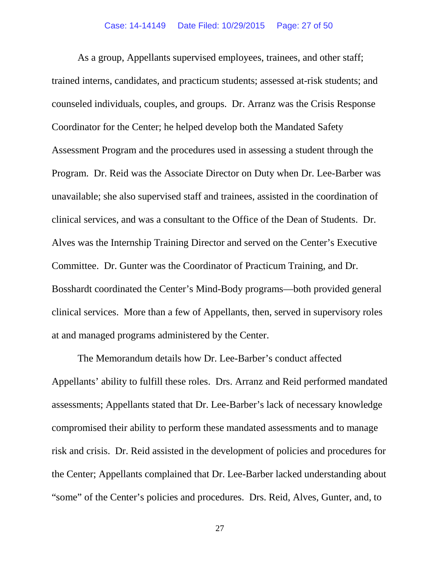As a group, Appellants supervised employees, trainees, and other staff; trained interns, candidates, and practicum students; assessed at-risk students; and counseled individuals, couples, and groups. Dr. Arranz was the Crisis Response Coordinator for the Center; he helped develop both the Mandated Safety Assessment Program and the procedures used in assessing a student through the Program. Dr. Reid was the Associate Director on Duty when Dr. Lee-Barber was unavailable; she also supervised staff and trainees, assisted in the coordination of clinical services, and was a consultant to the Office of the Dean of Students. Dr. Alves was the Internship Training Director and served on the Center's Executive Committee. Dr. Gunter was the Coordinator of Practicum Training, and Dr. Bosshardt coordinated the Center's Mind-Body programs—both provided general clinical services. More than a few of Appellants, then, served in supervisory roles at and managed programs administered by the Center.

The Memorandum details how Dr. Lee-Barber's conduct affected Appellants' ability to fulfill these roles. Drs. Arranz and Reid performed mandated assessments; Appellants stated that Dr. Lee-Barber's lack of necessary knowledge compromised their ability to perform these mandated assessments and to manage risk and crisis. Dr. Reid assisted in the development of policies and procedures for the Center; Appellants complained that Dr. Lee-Barber lacked understanding about "some" of the Center's policies and procedures. Drs. Reid, Alves, Gunter, and, to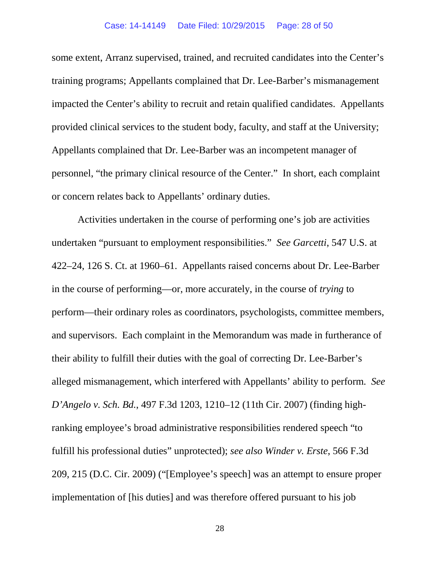some extent, Arranz supervised, trained, and recruited candidates into the Center's training programs; Appellants complained that Dr. Lee-Barber's mismanagement impacted the Center's ability to recruit and retain qualified candidates. Appellants provided clinical services to the student body, faculty, and staff at the University; Appellants complained that Dr. Lee-Barber was an incompetent manager of personnel, "the primary clinical resource of the Center." In short, each complaint or concern relates back to Appellants' ordinary duties.

Activities undertaken in the course of performing one's job are activities undertaken "pursuant to employment responsibilities." *See Garcetti*, 547 U.S. at 422–24, 126 S. Ct. at 1960–61. Appellants raised concerns about Dr. Lee-Barber in the course of performing—or, more accurately, in the course of *trying* to perform—their ordinary roles as coordinators, psychologists, committee members, and supervisors. Each complaint in the Memorandum was made in furtherance of their ability to fulfill their duties with the goal of correcting Dr. Lee-Barber's alleged mismanagement, which interfered with Appellants' ability to perform. *See D'Angelo v. Sch. Bd.*, 497 F.3d 1203, 1210–12 (11th Cir. 2007) (finding highranking employee's broad administrative responsibilities rendered speech "to fulfill his professional duties" unprotected); *see also Winder v. Erste*, 566 F.3d 209, 215 (D.C. Cir. 2009) ("[Employee's speech] was an attempt to ensure proper implementation of [his duties] and was therefore offered pursuant to his job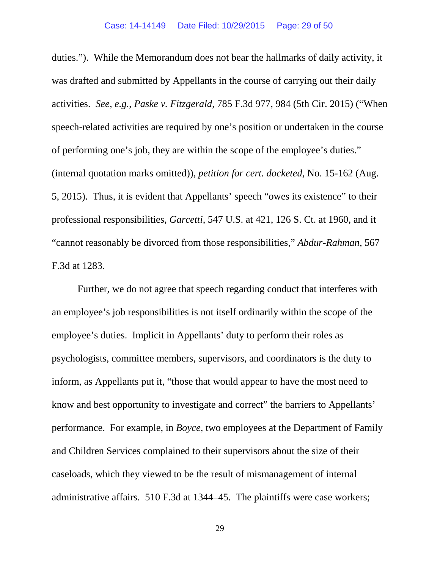duties."). While the Memorandum does not bear the hallmarks of daily activity, it was drafted and submitted by Appellants in the course of carrying out their daily activities. *See, e.g.*, *Paske v. Fitzgerald*, 785 F.3d 977, 984 (5th Cir. 2015) ("When speech-related activities are required by one's position or undertaken in the course of performing one's job, they are within the scope of the employee's duties." (internal quotation marks omitted)), *petition for cert. docketed*, No. 15-162 (Aug. 5, 2015). Thus, it is evident that Appellants' speech "owes its existence" to their professional responsibilities, *Garcetti*, 547 U.S. at 421, 126 S. Ct. at 1960, and it "cannot reasonably be divorced from those responsibilities," *Abdur-Rahman*, 567 F.3d at 1283.

Further, we do not agree that speech regarding conduct that interferes with an employee's job responsibilities is not itself ordinarily within the scope of the employee's duties. Implicit in Appellants' duty to perform their roles as psychologists, committee members, supervisors, and coordinators is the duty to inform, as Appellants put it, "those that would appear to have the most need to know and best opportunity to investigate and correct" the barriers to Appellants' performance. For example, in *Boyce*, two employees at the Department of Family and Children Services complained to their supervisors about the size of their caseloads, which they viewed to be the result of mismanagement of internal administrative affairs. 510 F.3d at 1344–45. The plaintiffs were case workers;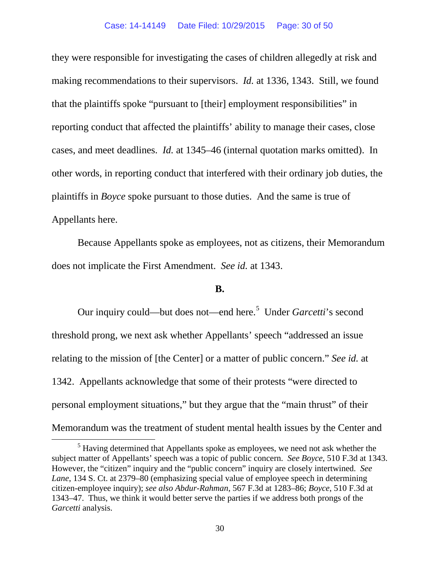they were responsible for investigating the cases of children allegedly at risk and making recommendations to their supervisors. *Id.* at 1336, 1343. Still, we found that the plaintiffs spoke "pursuant to [their] employment responsibilities" in reporting conduct that affected the plaintiffs' ability to manage their cases, close cases, and meet deadlines. *Id.* at 1345–46 (internal quotation marks omitted). In other words, in reporting conduct that interfered with their ordinary job duties, the plaintiffs in *Boyce* spoke pursuant to those duties. And the same is true of Appellants here.

Because Appellants spoke as employees, not as citizens, their Memorandum does not implicate the First Amendment. *See id.* at 1343.

# **B.**

Our inquiry could—but does not—end here.<sup>[5](#page-29-0)</sup> Under *Garcetti*'s second threshold prong, we next ask whether Appellants' speech "addressed an issue relating to the mission of [the Center] or a matter of public concern." *See id.* at 1342. Appellants acknowledge that some of their protests "were directed to personal employment situations," but they argue that the "main thrust" of their Memorandum was the treatment of student mental health issues by the Center and

<span id="page-29-0"></span><sup>&</sup>lt;sup>5</sup> Having determined that Appellants spoke as employees, we need not ask whether the subject matter of Appellants' speech was a topic of public concern. *See Boyce*, 510 F.3d at 1343. However, the "citizen" inquiry and the "public concern" inquiry are closely intertwined. *See Lane*, 134 S. Ct. at 2379–80 (emphasizing special value of employee speech in determining citizen-employee inquiry); *see also Abdur-Rahman*, 567 F.3d at 1283–86; *Boyce*, 510 F.3d at 1343–47. Thus, we think it would better serve the parties if we address both prongs of the *Garcetti* analysis.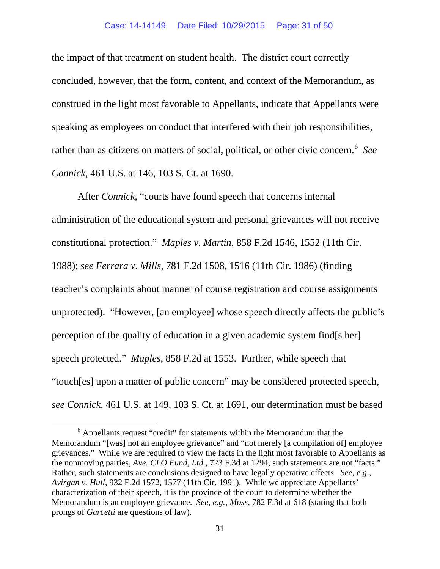#### Case: 14-14149 Date Filed: 10/29/2015 Page: 31 of 50

the impact of that treatment on student health. The district court correctly concluded, however, that the form, content, and context of the Memorandum, as construed in the light most favorable to Appellants, indicate that Appellants were speaking as employees on conduct that interfered with their job responsibilities, rather than as citizens on matters of social, political, or other civic concern.<sup>[6](#page-30-0)</sup> See *Connick*, 461 U.S. at 146, 103 S. Ct. at 1690.

After *Connick*, "courts have found speech that concerns internal administration of the educational system and personal grievances will not receive constitutional protection." *Maples v. Martin*, 858 F.2d 1546, 1552 (11th Cir. 1988); *see Ferrara v. Mills*, 781 F.2d 1508, 1516 (11th Cir. 1986) (finding teacher's complaints about manner of course registration and course assignments unprotected). "However, [an employee] whose speech directly affects the public's perception of the quality of education in a given academic system find[s her] speech protected." *Maples*, 858 F.2d at 1553. Further, while speech that "touch[es] upon a matter of public concern" may be considered protected speech, *see Connick*, 461 U.S. at 149, 103 S. Ct. at 1691, our determination must be based

<span id="page-30-0"></span> <sup>6</sup> Appellants request "credit" for statements within the Memorandum that the Memorandum "[was] not an employee grievance" and "not merely [a compilation of] employee grievances." While we are required to view the facts in the light most favorable to Appellants as the nonmoving parties, *Ave. CLO Fund, Ltd.*, 723 F.3d at 1294, such statements are not "facts." Rather, such statements are conclusions designed to have legally operative effects. *See, e.g.*, *Avirgan v. Hull*, 932 F.2d 1572, 1577 (11th Cir. 1991). While we appreciate Appellants' characterization of their speech, it is the province of the court to determine whether the Memorandum is an employee grievance. *See, e.g.*, *Moss*, 782 F.3d at 618 (stating that both prongs of *Garcetti* are questions of law).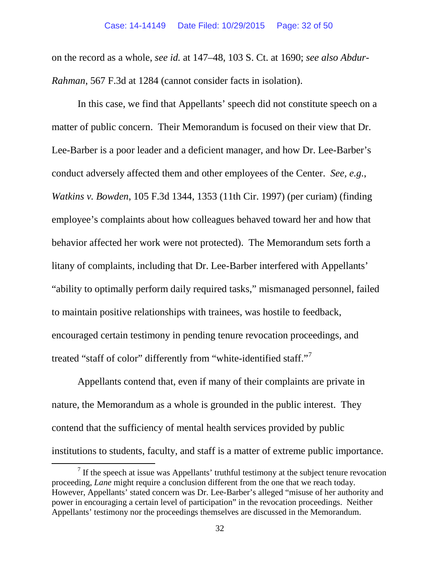on the record as a whole, *see id.* at 147–48, 103 S. Ct. at 1690; *see also Abdur-Rahman*, 567 F.3d at 1284 (cannot consider facts in isolation).

In this case, we find that Appellants' speech did not constitute speech on a matter of public concern. Their Memorandum is focused on their view that Dr. Lee-Barber is a poor leader and a deficient manager, and how Dr. Lee-Barber's conduct adversely affected them and other employees of the Center. *See, e.g.*, *Watkins v. Bowden*, 105 F.3d 1344, 1353 (11th Cir. 1997) (per curiam) (finding employee's complaints about how colleagues behaved toward her and how that behavior affected her work were not protected). The Memorandum sets forth a litany of complaints, including that Dr. Lee-Barber interfered with Appellants' "ability to optimally perform daily required tasks," mismanaged personnel, failed to maintain positive relationships with trainees, was hostile to feedback, encouraged certain testimony in pending tenure revocation proceedings, and treated "staff of color" differently from "white-identified staff."[7](#page-31-0)

Appellants contend that, even if many of their complaints are private in nature, the Memorandum as a whole is grounded in the public interest. They contend that the sufficiency of mental health services provided by public institutions to students, faculty, and staff is a matter of extreme public importance.

<span id="page-31-0"></span> $<sup>7</sup>$  If the speech at issue was Appellants' truthful testimony at the subject tenure revocation</sup> proceeding, *Lane* might require a conclusion different from the one that we reach today. However, Appellants' stated concern was Dr. Lee-Barber's alleged "misuse of her authority and power in encouraging a certain level of participation" in the revocation proceedings. Neither Appellants' testimony nor the proceedings themselves are discussed in the Memorandum.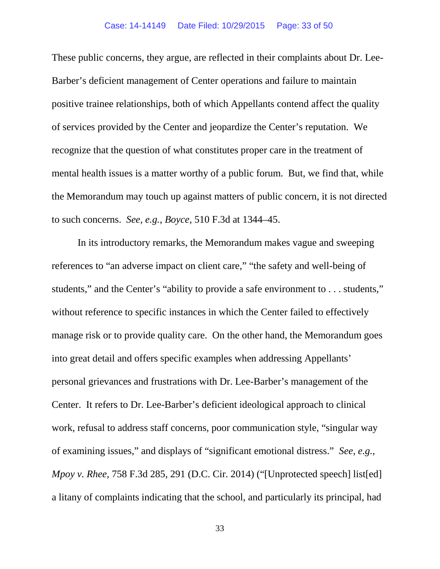These public concerns, they argue, are reflected in their complaints about Dr. Lee-Barber's deficient management of Center operations and failure to maintain positive trainee relationships, both of which Appellants contend affect the quality of services provided by the Center and jeopardize the Center's reputation. We recognize that the question of what constitutes proper care in the treatment of mental health issues is a matter worthy of a public forum. But, we find that, while the Memorandum may touch up against matters of public concern, it is not directed to such concerns. *See, e.g.*, *Boyce*, 510 F.3d at 1344–45.

In its introductory remarks, the Memorandum makes vague and sweeping references to "an adverse impact on client care," "the safety and well-being of students," and the Center's "ability to provide a safe environment to . . . students," without reference to specific instances in which the Center failed to effectively manage risk or to provide quality care. On the other hand, the Memorandum goes into great detail and offers specific examples when addressing Appellants' personal grievances and frustrations with Dr. Lee-Barber's management of the Center. It refers to Dr. Lee-Barber's deficient ideological approach to clinical work, refusal to address staff concerns, poor communication style, "singular way of examining issues," and displays of "significant emotional distress." *See, e.g.*, *Mpoy v. Rhee*, 758 F.3d 285, 291 (D.C. Cir. 2014) ("[Unprotected speech] list[ed] a litany of complaints indicating that the school, and particularly its principal, had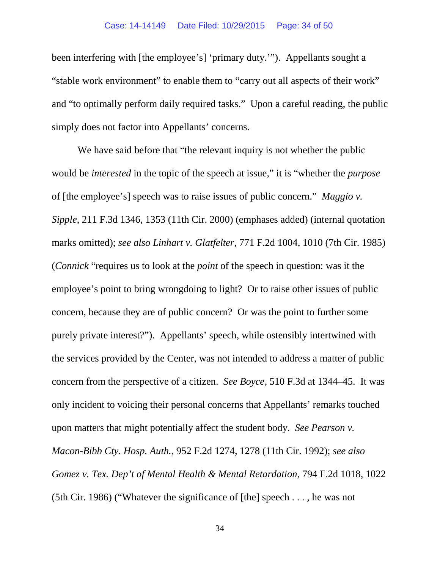been interfering with [the employee's] 'primary duty.'"). Appellants sought a "stable work environment" to enable them to "carry out all aspects of their work" and "to optimally perform daily required tasks." Upon a careful reading, the public simply does not factor into Appellants' concerns.

We have said before that "the relevant inquiry is not whether the public would be *interested* in the topic of the speech at issue," it is "whether the *purpose* of [the employee's] speech was to raise issues of public concern." *Maggio v. Sipple*, 211 F.3d 1346, 1353 (11th Cir. 2000) (emphases added) (internal quotation marks omitted); *see also Linhart v. Glatfelter*, 771 F.2d 1004, 1010 (7th Cir. 1985) (*Connick* "requires us to look at the *point* of the speech in question: was it the employee's point to bring wrongdoing to light? Or to raise other issues of public concern, because they are of public concern? Or was the point to further some purely private interest?"). Appellants' speech, while ostensibly intertwined with the services provided by the Center, was not intended to address a matter of public concern from the perspective of a citizen. *See Boyce*, 510 F.3d at 1344–45. It was only incident to voicing their personal concerns that Appellants' remarks touched upon matters that might potentially affect the student body. *See Pearson v. Macon-Bibb Cty. Hosp. Auth.*, 952 F.2d 1274, 1278 (11th Cir. 1992); *see also Gomez v. Tex. Dep't of Mental Health & Mental Retardation*, 794 F.2d 1018, 1022 (5th Cir. 1986) ("Whatever the significance of [the] speech . . . , he was not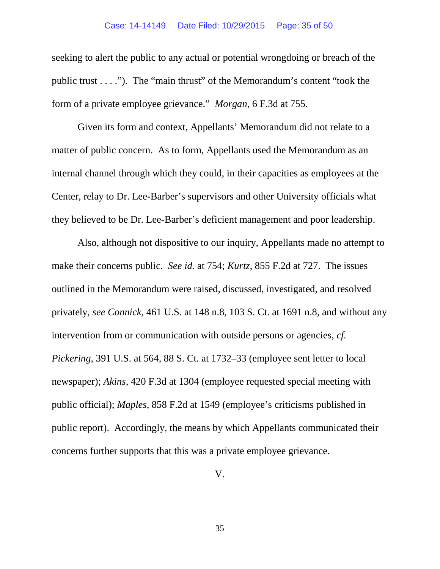### Case: 14-14149 Date Filed: 10/29/2015 Page: 35 of 50

seeking to alert the public to any actual or potential wrongdoing or breach of the public trust . . . ."). The "main thrust" of the Memorandum's content "took the form of a private employee grievance." *Morgan*, 6 F.3d at 755.

Given its form and context, Appellants' Memorandum did not relate to a matter of public concern. As to form, Appellants used the Memorandum as an internal channel through which they could, in their capacities as employees at the Center, relay to Dr. Lee-Barber's supervisors and other University officials what they believed to be Dr. Lee-Barber's deficient management and poor leadership.

Also, although not dispositive to our inquiry, Appellants made no attempt to make their concerns public. *See id.* at 754; *Kurtz*, 855 F.2d at 727. The issues outlined in the Memorandum were raised, discussed, investigated, and resolved privately, *see Connick*, 461 U.S. at 148 n.8, 103 S. Ct. at 1691 n.8, and without any intervention from or communication with outside persons or agencies, *cf. Pickering*, 391 U.S. at 564, 88 S. Ct. at 1732–33 (employee sent letter to local newspaper); *Akins*, 420 F.3d at 1304 (employee requested special meeting with public official); *Maples*, 858 F.2d at 1549 (employee's criticisms published in public report). Accordingly, the means by which Appellants communicated their concerns further supports that this was a private employee grievance.

V.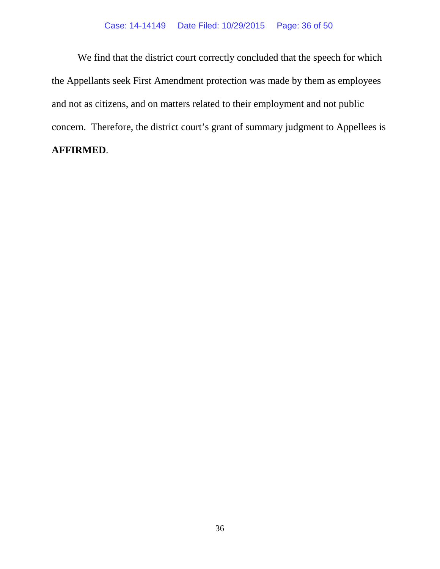## Case: 14-14149 Date Filed: 10/29/2015 Page: 36 of 50

We find that the district court correctly concluded that the speech for which the Appellants seek First Amendment protection was made by them as employees and not as citizens, and on matters related to their employment and not public concern. Therefore, the district court's grant of summary judgment to Appellees is **AFFIRMED**.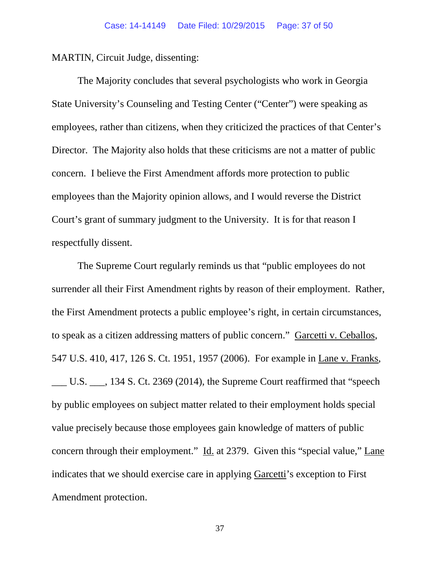MARTIN, Circuit Judge, dissenting:

The Majority concludes that several psychologists who work in Georgia State University's Counseling and Testing Center ("Center") were speaking as employees, rather than citizens, when they criticized the practices of that Center's Director. The Majority also holds that these criticisms are not a matter of public concern. I believe the First Amendment affords more protection to public employees than the Majority opinion allows, and I would reverse the District Court's grant of summary judgment to the University. It is for that reason I respectfully dissent.

The Supreme Court regularly reminds us that "public employees do not surrender all their First Amendment rights by reason of their employment. Rather, the First Amendment protects a public employee's right, in certain circumstances, to speak as a citizen addressing matters of public concern." Garcetti v. Ceballos, 547 U.S. 410, 417, 126 S. Ct. 1951, 1957 (2006). For example in Lane v. Franks, \_\_\_ U.S. \_\_\_, 134 S. Ct. 2369 (2014), the Supreme Court reaffirmed that "speech by public employees on subject matter related to their employment holds special value precisely because those employees gain knowledge of matters of public concern through their employment." Id. at 2379. Given this "special value," Lane indicates that we should exercise care in applying Garcetti's exception to First Amendment protection.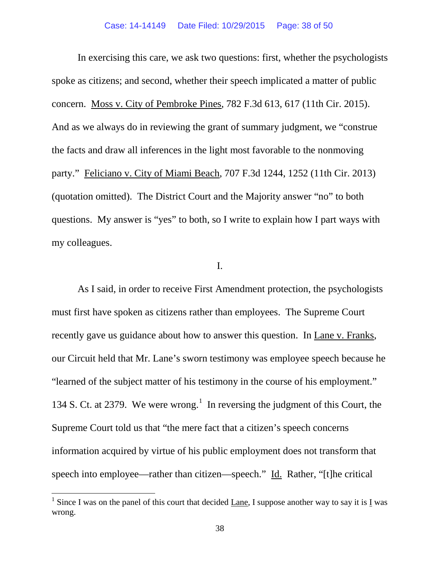In exercising this care, we ask two questions: first, whether the psychologists spoke as citizens; and second, whether their speech implicated a matter of public concern. Moss v. City of Pembroke Pines, 782 F.3d 613, 617 (11th Cir. 2015). And as we always do in reviewing the grant of summary judgment, we "construe the facts and draw all inferences in the light most favorable to the nonmoving party." Feliciano v. City of Miami Beach, 707 F.3d 1244, 1252 (11th Cir. 2013) (quotation omitted). The District Court and the Majority answer "no" to both questions. My answer is "yes" to both, so I write to explain how I part ways with my colleagues.

# I.

As I said, in order to receive First Amendment protection, the psychologists must first have spoken as citizens rather than employees. The Supreme Court recently gave us guidance about how to answer this question. In Lane v. Franks, our Circuit held that Mr. Lane's sworn testimony was employee speech because he "learned of the subject matter of his testimony in the course of his employment." [1](#page-37-0)34 S. Ct. at 2379. We were wrong.<sup>1</sup> In reversing the judgment of this Court, the Supreme Court told us that "the mere fact that a citizen's speech concerns information acquired by virtue of his public employment does not transform that speech into employee—rather than citizen—speech." Id. Rather, "[t]he critical

<span id="page-37-0"></span><sup>&</sup>lt;sup>1</sup> Since I was on the panel of this court that decided Lane, I suppose another way to say it is  $\underline{I}$  was wrong.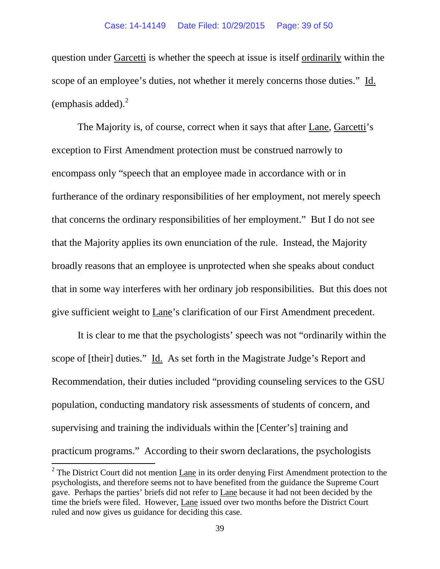question under Garcetti is whether the speech at issue is itself ordinarily within the scope of an employee's duties, not whether it merely concerns those duties." Id. (emphasis added). $^{2}$  $^{2}$  $^{2}$ 

The Majority is, of course, correct when it says that after Lane, Garcetti's exception to First Amendment protection must be construed narrowly to encompass only "speech that an employee made in accordance with or in furtherance of the ordinary responsibilities of her employment, not merely speech that concerns the ordinary responsibilities of her employment." But I do not see that the Majority applies its own enunciation of the rule. Instead, the Majority broadly reasons that an employee is unprotected when she speaks about conduct that in some way interferes with her ordinary job responsibilities. But this does not give sufficient weight to Lane's clarification of our First Amendment precedent.

It is clear to me that the psychologists' speech was not "ordinarily within the scope of [their] duties." Id. As set forth in the Magistrate Judge's Report and Recommendation, their duties included "providing counseling services to the GSU population, conducting mandatory risk assessments of students of concern, and supervising and training the individuals within the [Center's] training and practicum programs." According to their sworn declarations, the psychologists

<span id="page-38-0"></span> $2$  The District Court did not mention Lane in its order denying First Amendment protection to the psychologists, and therefore seems not to have benefited from the guidance the Supreme Court gave. Perhaps the parties' briefs did not refer to Lane because it had not been decided by the time the briefs were filed. However, Lane issued over two months before the District Court ruled and now gives us guidance for deciding this case.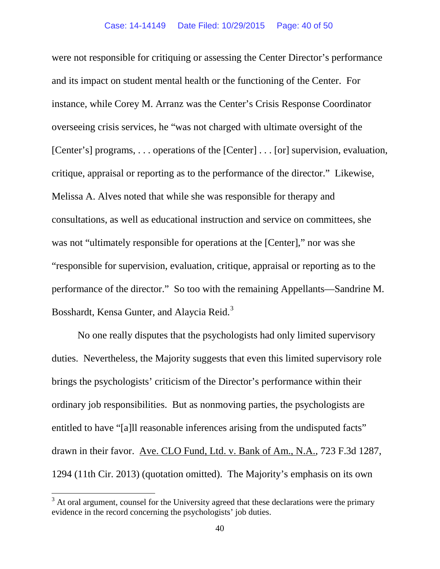were not responsible for critiquing or assessing the Center Director's performance and its impact on student mental health or the functioning of the Center. For instance, while Corey M. Arranz was the Center's Crisis Response Coordinator overseeing crisis services, he "was not charged with ultimate oversight of the [Center's] programs, . . . operations of the [Center] . . . [or] supervision, evaluation, critique, appraisal or reporting as to the performance of the director." Likewise, Melissa A. Alves noted that while she was responsible for therapy and consultations, as well as educational instruction and service on committees, she was not "ultimately responsible for operations at the [Center]," nor was she "responsible for supervision, evaluation, critique, appraisal or reporting as to the performance of the director." So too with the remaining Appellants—Sandrine M. Bosshardt, Kensa Gunter, and Alaycia Reid.<sup>[3](#page-39-0)</sup>

No one really disputes that the psychologists had only limited supervisory duties. Nevertheless, the Majority suggests that even this limited supervisory role brings the psychologists' criticism of the Director's performance within their ordinary job responsibilities. But as nonmoving parties, the psychologists are entitled to have "[a]ll reasonable inferences arising from the undisputed facts" drawn in their favor. Ave. CLO Fund, Ltd. v. Bank of Am., N.A., 723 F.3d 1287, 1294 (11th Cir. 2013) (quotation omitted). The Majority's emphasis on its own

<span id="page-39-0"></span> $3$  At oral argument, counsel for the University agreed that these declarations were the primary evidence in the record concerning the psychologists' job duties.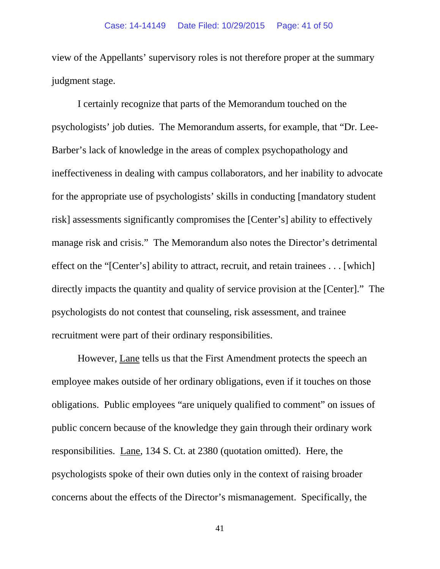view of the Appellants' supervisory roles is not therefore proper at the summary judgment stage.

I certainly recognize that parts of the Memorandum touched on the psychologists' job duties. The Memorandum asserts, for example, that "Dr. Lee-Barber's lack of knowledge in the areas of complex psychopathology and ineffectiveness in dealing with campus collaborators, and her inability to advocate for the appropriate use of psychologists' skills in conducting [mandatory student risk] assessments significantly compromises the [Center's] ability to effectively manage risk and crisis." The Memorandum also notes the Director's detrimental effect on the "[Center's] ability to attract, recruit, and retain trainees . . . [which] directly impacts the quantity and quality of service provision at the [Center]." The psychologists do not contest that counseling, risk assessment, and trainee recruitment were part of their ordinary responsibilities.

However, Lane tells us that the First Amendment protects the speech an employee makes outside of her ordinary obligations, even if it touches on those obligations. Public employees "are uniquely qualified to comment" on issues of public concern because of the knowledge they gain through their ordinary work responsibilities. Lane, 134 S. Ct. at 2380 (quotation omitted). Here, the psychologists spoke of their own duties only in the context of raising broader concerns about the effects of the Director's mismanagement. Specifically, the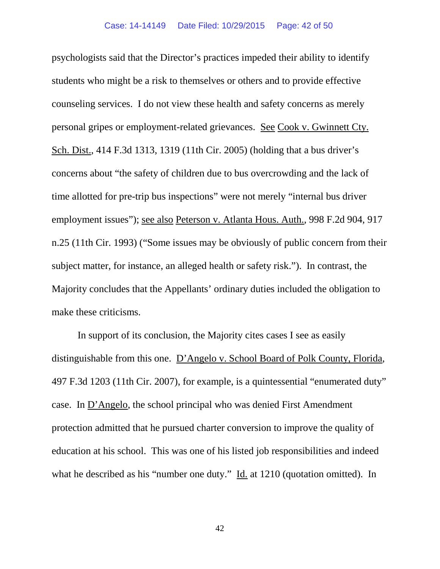psychologists said that the Director's practices impeded their ability to identify students who might be a risk to themselves or others and to provide effective counseling services. I do not view these health and safety concerns as merely personal gripes or employment-related grievances. See Cook v. Gwinnett Cty. Sch. Dist., 414 F.3d 1313, 1319 (11th Cir. 2005) (holding that a bus driver's concerns about "the safety of children due to bus overcrowding and the lack of time allotted for pre-trip bus inspections" were not merely "internal bus driver employment issues"); see also Peterson v. Atlanta Hous. Auth., 998 F.2d 904, 917 n.25 (11th Cir. 1993) ("Some issues may be obviously of public concern from their subject matter, for instance, an alleged health or safety risk."). In contrast, the Majority concludes that the Appellants' ordinary duties included the obligation to make these criticisms.

In support of its conclusion, the Majority cites cases I see as easily distinguishable from this one. D'Angelo v. School Board of Polk County, Florida, 497 F.3d 1203 (11th Cir. 2007), for example, is a quintessential "enumerated duty" case. In D'Angelo, the school principal who was denied First Amendment protection admitted that he pursued charter conversion to improve the quality of education at his school. This was one of his listed job responsibilities and indeed what he described as his "number one duty." Id. at 1210 (quotation omitted). In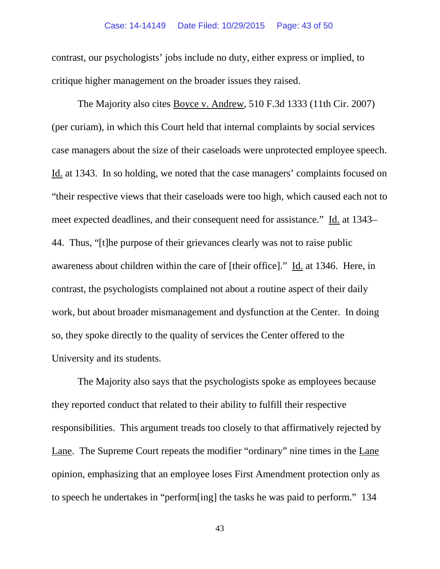### Case: 14-14149 Date Filed: 10/29/2015 Page: 43 of 50

contrast, our psychologists' jobs include no duty, either express or implied, to critique higher management on the broader issues they raised.

The Majority also cites Boyce v. Andrew, 510 F.3d 1333 (11th Cir. 2007) (per curiam), in which this Court held that internal complaints by social services case managers about the size of their caseloads were unprotected employee speech. Id. at 1343. In so holding, we noted that the case managers' complaints focused on "their respective views that their caseloads were too high, which caused each not to meet expected deadlines, and their consequent need for assistance." Id. at 1343– 44. Thus, "[t]he purpose of their grievances clearly was not to raise public awareness about children within the care of [their office]." Id. at 1346. Here, in contrast, the psychologists complained not about a routine aspect of their daily work, but about broader mismanagement and dysfunction at the Center. In doing so, they spoke directly to the quality of services the Center offered to the University and its students.

The Majority also says that the psychologists spoke as employees because they reported conduct that related to their ability to fulfill their respective responsibilities. This argument treads too closely to that affirmatively rejected by Lane. The Supreme Court repeats the modifier "ordinary" nine times in the Lane opinion, emphasizing that an employee loses First Amendment protection only as to speech he undertakes in "perform[ing] the tasks he was paid to perform." 134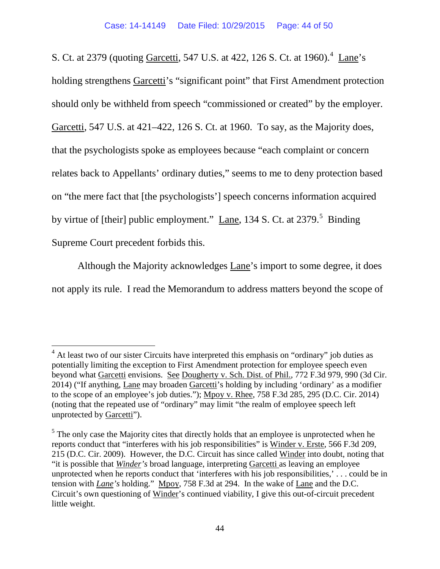S. Ct. at 2379 (quoting *Garcetti, 5[4](#page-43-0)7 U.S. at 422, 126 S. Ct. at 1960*).<sup>4</sup> Lane's holding strengthens Garcetti's "significant point" that First Amendment protection should only be withheld from speech "commissioned or created" by the employer. Garcetti, 547 U.S. at 421–422, 126 S. Ct. at 1960. To say, as the Majority does, that the psychologists spoke as employees because "each complaint or concern relates back to Appellants' ordinary duties," seems to me to deny protection based on "the mere fact that [the psychologists'] speech concerns information acquired by virtue of [their] public employment."  $\text{Lane}$ , 134 S. Ct. at 2379.<sup>[5](#page-43-1)</sup> Binding Supreme Court precedent forbids this.

Although the Majority acknowledges Lane's import to some degree, it does not apply its rule. I read the Memorandum to address matters beyond the scope of

<span id="page-43-0"></span> $4$  At least two of our sister Circuits have interpreted this emphasis on "ordinary" job duties as potentially limiting the exception to First Amendment protection for employee speech even beyond what Garcetti envisions. See Dougherty v. Sch. Dist. of Phil., 772 F.3d 979, 990 (3d Cir. 2014) ("If anything, Lane may broaden Garcetti's holding by including 'ordinary' as a modifier to the scope of an employee's job duties."); Mpoy v. Rhee, 758 F.3d 285, 295 (D.C. Cir. 2014) (noting that the repeated use of "ordinary" may limit "the realm of employee speech left unprotected by Garcetti").

<span id="page-43-1"></span> $<sup>5</sup>$  The only case the Majority cites that directly holds that an employee is unprotected when he</sup> reports conduct that "interferes with his job responsibilities" is Winder v. Erste, 566 F.3d 209, 215 (D.C. Cir. 2009). However, the D.C. Circuit has since called Winder into doubt, noting that "it is possible that *Winder's* broad language, interpreting Garcetti as leaving an employee unprotected when he reports conduct that 'interferes with his job responsibilities,' . . . could be in tension with *Lane's* holding." Mpoy, 758 F.3d at 294. In the wake of Lane and the D.C. Circuit's own questioning of Winder's continued viability, I give this out-of-circuit precedent little weight.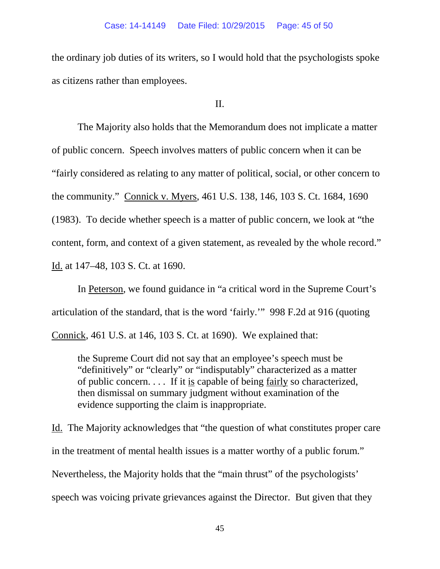the ordinary job duties of its writers, so I would hold that the psychologists spoke as citizens rather than employees.

II.

The Majority also holds that the Memorandum does not implicate a matter of public concern. Speech involves matters of public concern when it can be "fairly considered as relating to any matter of political, social, or other concern to the community." Connick v. Myers, 461 U.S. 138, 146, 103 S. Ct. 1684, 1690 (1983). To decide whether speech is a matter of public concern, we look at "the content, form, and context of a given statement, as revealed by the whole record." Id. at 147–48, 103 S. Ct. at 1690.

In Peterson, we found guidance in "a critical word in the Supreme Court's articulation of the standard, that is the word 'fairly.'" 998 F.2d at 916 (quoting Connick, 461 U.S. at 146, 103 S. Ct. at 1690). We explained that:

the Supreme Court did not say that an employee's speech must be "definitively" or "clearly" or "indisputably" characterized as a matter of public concern. . . . If it is capable of being fairly so characterized, then dismissal on summary judgment without examination of the evidence supporting the claim is inappropriate.

Id. The Majority acknowledges that "the question of what constitutes proper care in the treatment of mental health issues is a matter worthy of a public forum." Nevertheless, the Majority holds that the "main thrust" of the psychologists' speech was voicing private grievances against the Director. But given that they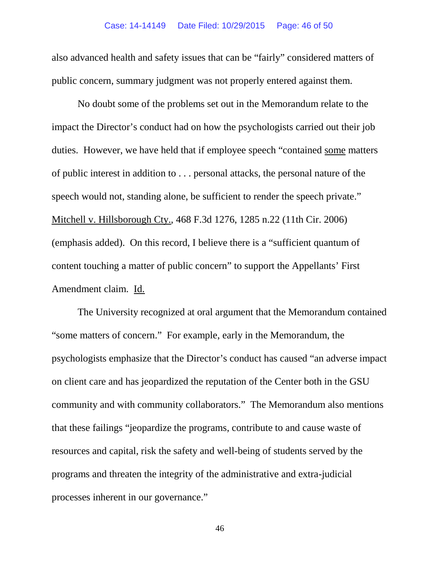also advanced health and safety issues that can be "fairly" considered matters of public concern, summary judgment was not properly entered against them.

No doubt some of the problems set out in the Memorandum relate to the impact the Director's conduct had on how the psychologists carried out their job duties. However, we have held that if employee speech "contained some matters of public interest in addition to . . . personal attacks, the personal nature of the speech would not, standing alone, be sufficient to render the speech private." Mitchell v. Hillsborough Cty., 468 F.3d 1276, 1285 n.22 (11th Cir. 2006) (emphasis added). On this record, I believe there is a "sufficient quantum of content touching a matter of public concern" to support the Appellants' First Amendment claim. Id.

The University recognized at oral argument that the Memorandum contained "some matters of concern." For example, early in the Memorandum, the psychologists emphasize that the Director's conduct has caused "an adverse impact on client care and has jeopardized the reputation of the Center both in the GSU community and with community collaborators." The Memorandum also mentions that these failings "jeopardize the programs, contribute to and cause waste of resources and capital, risk the safety and well-being of students served by the programs and threaten the integrity of the administrative and extra-judicial processes inherent in our governance."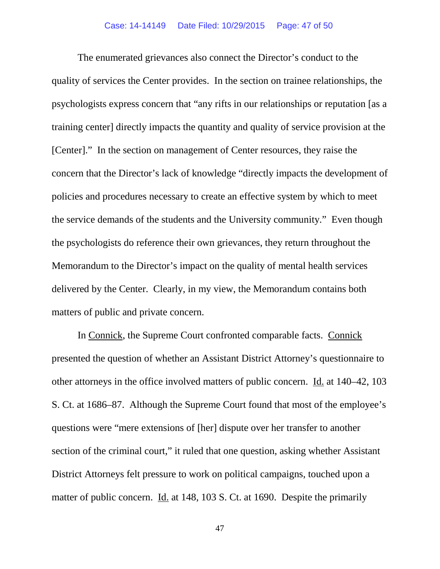The enumerated grievances also connect the Director's conduct to the quality of services the Center provides. In the section on trainee relationships, the psychologists express concern that "any rifts in our relationships or reputation [as a training center] directly impacts the quantity and quality of service provision at the [Center]." In the section on management of Center resources, they raise the concern that the Director's lack of knowledge "directly impacts the development of policies and procedures necessary to create an effective system by which to meet the service demands of the students and the University community." Even though the psychologists do reference their own grievances, they return throughout the Memorandum to the Director's impact on the quality of mental health services delivered by the Center. Clearly, in my view, the Memorandum contains both matters of public and private concern.

In Connick, the Supreme Court confronted comparable facts. Connick presented the question of whether an Assistant District Attorney's questionnaire to other attorneys in the office involved matters of public concern. Id. at 140–42, 103 S. Ct. at 1686–87. Although the Supreme Court found that most of the employee's questions were "mere extensions of [her] dispute over her transfer to another section of the criminal court," it ruled that one question, asking whether Assistant District Attorneys felt pressure to work on political campaigns, touched upon a matter of public concern. Id. at 148, 103 S. Ct. at 1690. Despite the primarily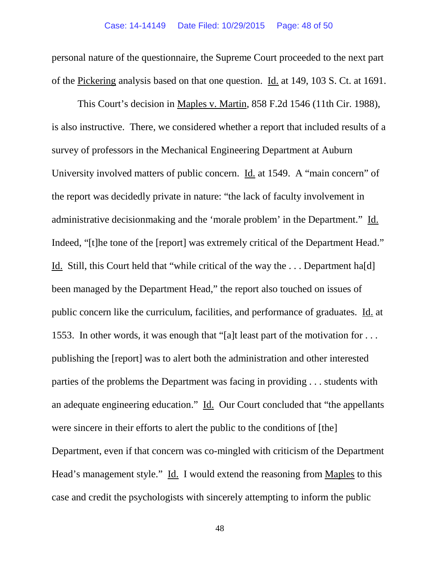personal nature of the questionnaire, the Supreme Court proceeded to the next part of the Pickering analysis based on that one question. Id. at 149, 103 S. Ct. at 1691.

This Court's decision in Maples v. Martin, 858 F.2d 1546 (11th Cir. 1988), is also instructive. There, we considered whether a report that included results of a survey of professors in the Mechanical Engineering Department at Auburn University involved matters of public concern. Id. at 1549. A "main concern" of the report was decidedly private in nature: "the lack of faculty involvement in administrative decisionmaking and the 'morale problem' in the Department." Id. Indeed, "[t]he tone of the [report] was extremely critical of the Department Head." Id. Still, this Court held that "while critical of the way the . . . Department ha[d] been managed by the Department Head," the report also touched on issues of public concern like the curriculum, facilities, and performance of graduates. Id. at 1553. In other words, it was enough that "[a]t least part of the motivation for . . . publishing the [report] was to alert both the administration and other interested parties of the problems the Department was facing in providing . . . students with an adequate engineering education." Id. Our Court concluded that "the appellants" were sincere in their efforts to alert the public to the conditions of [the] Department, even if that concern was co-mingled with criticism of the Department Head's management style." Id. I would extend the reasoning from Maples to this case and credit the psychologists with sincerely attempting to inform the public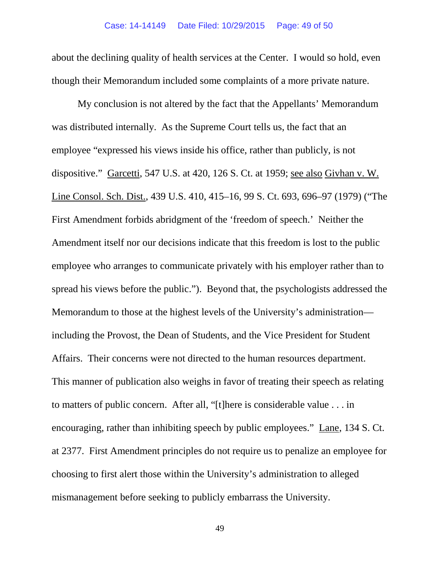about the declining quality of health services at the Center. I would so hold, even though their Memorandum included some complaints of a more private nature.

My conclusion is not altered by the fact that the Appellants' Memorandum was distributed internally. As the Supreme Court tells us, the fact that an employee "expressed his views inside his office, rather than publicly, is not dispositive." Garcetti, 547 U.S. at 420, 126 S. Ct. at 1959; see also Givhan v. W. Line Consol. Sch. Dist., 439 U.S. 410, 415–16, 99 S. Ct. 693, 696–97 (1979) ("The First Amendment forbids abridgment of the 'freedom of speech.' Neither the Amendment itself nor our decisions indicate that this freedom is lost to the public employee who arranges to communicate privately with his employer rather than to spread his views before the public."). Beyond that, the psychologists addressed the Memorandum to those at the highest levels of the University's administration including the Provost, the Dean of Students, and the Vice President for Student Affairs. Their concerns were not directed to the human resources department. This manner of publication also weighs in favor of treating their speech as relating to matters of public concern. After all, "[t]here is considerable value . . . in encouraging, rather than inhibiting speech by public employees." Lane, 134 S. Ct. at 2377. First Amendment principles do not require us to penalize an employee for choosing to first alert those within the University's administration to alleged mismanagement before seeking to publicly embarrass the University.